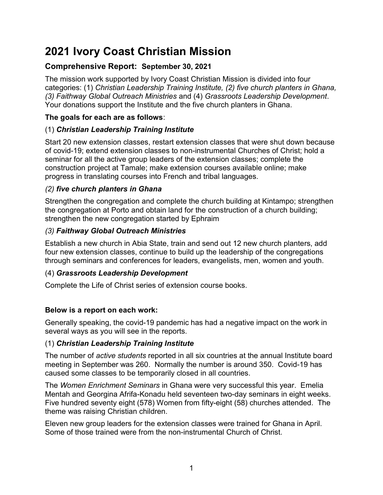# 2021 Ivory Coast Christian Mission

# Comprehensive Report: September 30, 2021

The mission work supported by Ivory Coast Christian Mission is divided into four categories: (1) Christian Leadership Training Institute, (2) five church planters in Ghana, (3) Faithway Global Outreach Ministries and (4) Grassroots Leadership Development. Your donations support the Institute and the five church planters in Ghana.

## The goals for each are as follows:

# (1) Christian Leadership Training Institute

Start 20 new extension classes, restart extension classes that were shut down because of covid-19; extend extension classes to non-instrumental Churches of Christ; hold a seminar for all the active group leaders of the extension classes; complete the construction project at Tamale; make extension courses available online; make progress in translating courses into French and tribal languages.

# (2) five church planters in Ghana

Strengthen the congregation and complete the church building at Kintampo; strengthen the congregation at Porto and obtain land for the construction of a church building; strengthen the new congregation started by Ephraim

# (3) Faithway Global Outreach Ministries

Establish a new church in Abia State, train and send out 12 new church planters, add four new extension classes, continue to build up the leadership of the congregations through seminars and conferences for leaders, evangelists, men, women and youth.

## (4) Grassroots Leadership Development

Complete the Life of Christ series of extension course books.

## Below is a report on each work:

Generally speaking, the covid-19 pandemic has had a negative impact on the work in several ways as you will see in the reports.

## (1) Christian Leadership Training Institute

The number of active students reported in all six countries at the annual Institute board meeting in September was 260. Normally the number is around 350. Covid-19 has caused some classes to be temporarily closed in all countries.

The Women Enrichment Seminars in Ghana were very successful this year. Emelia Mentah and Georgina Afrifa-Konadu held seventeen two-day seminars in eight weeks. Five hundred seventy eight (578) Women from fifty-eight (58) churches attended. The theme was raising Christian children.

Eleven new group leaders for the extension classes were trained for Ghana in April. Some of those trained were from the non-instrumental Church of Christ.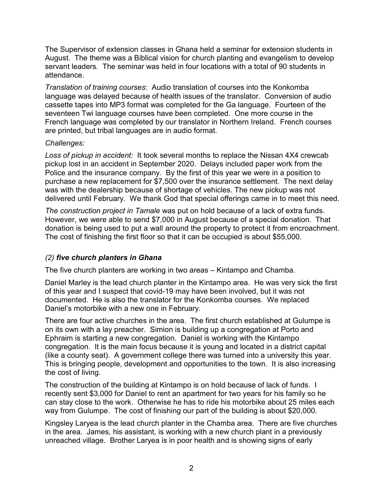The Supervisor of extension classes in Ghana held a seminar for extension students in August. The theme was a Biblical vision for church planting and evangelism to develop servant leaders. The seminar was held in four locations with a total of 90 students in attendance.

Translation of training courses: Audio translation of courses into the Konkomba language was delayed because of health issues of the translator. Conversion of audio cassette tapes into MP3 format was completed for the Ga language. Fourteen of the seventeen Twi language courses have been completed. One more course in the French language was completed by our translator in Northern Ireland. French courses are printed, but tribal languages are in audio format.

#### Challenges:

Loss of pickup in accident: It took several months to replace the Nissan 4X4 crewcab pickup lost in an accident in September 2020. Delays included paper work from the Police and the insurance company. By the first of this year we were in a position to purchase a new replacement for \$7,500 over the insurance settlement. The next delay was with the dealership because of shortage of vehicles. The new pickup was not delivered until February. We thank God that special offerings came in to meet this need.

The construction project in Tamale was put on hold because of a lack of extra funds. However, we were able to send \$7,000 in August because of a special donation. That donation is being used to put a wall around the property to protect it from encroachment. The cost of finishing the first floor so that it can be occupied is about \$55,000.

## (2) five church planters in Ghana

The five church planters are working in two areas – Kintampo and Chamba.

Daniel Marley is the lead church planter in the Kintampo area. He was very sick the first of this year and I suspect that covid-19 may have been involved, but it was not documented. He is also the translator for the Konkomba courses. We replaced Daniel's motorbike with a new one in February.

There are four active churches in the area. The first church established at Gulumpe is on its own with a lay preacher. Simion is building up a congregation at Porto and Ephraim is starting a new congregation. Daniel is working with the Kintampo congregation. It is the main focus because it is young and located in a district capital (like a county seat). A government college there was turned into a university this year. This is bringing people, development and opportunities to the town. It is also increasing the cost of living.

The construction of the building at Kintampo is on hold because of lack of funds. I recently sent \$3,000 for Daniel to rent an apartment for two years for his family so he can stay close to the work. Otherwise he has to ride his motorbike about 25 miles each way from Gulumpe. The cost of finishing our part of the building is about \$20,000.

Kingsley Laryea is the lead church planter in the Chamba area. There are five churches in the area. James, his assistant, is working with a new church plant in a previously unreached village. Brother Laryea is in poor health and is showing signs of early